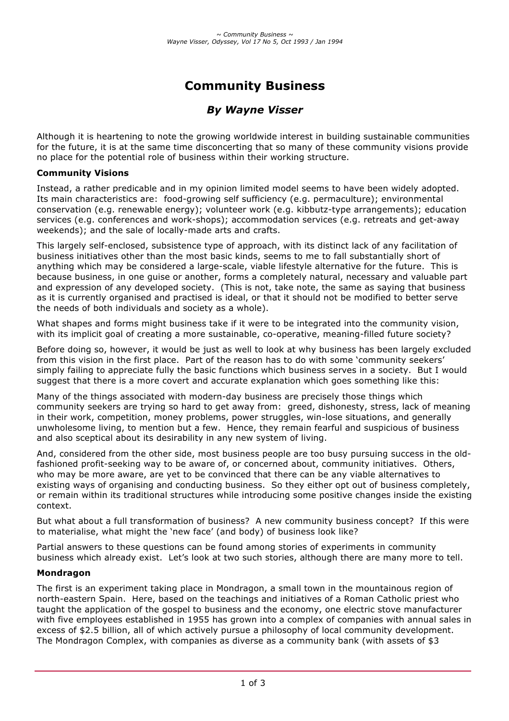# **Community Business**

## *By Wayne Visser*

Although it is heartening to note the growing worldwide interest in building sustainable communities for the future, it is at the same time disconcerting that so many of these community visions provide no place for the potential role of business within their working structure.

#### **Community Visions**

Instead, a rather predicable and in my opinion limited model seems to have been widely adopted. Its main characteristics are: food-growing self sufficiency (e.g. permaculture); environmental conservation (e.g. renewable energy); volunteer work (e.g. kibbutz-type arrangements); education services (e.g. conferences and work-shops); accommodation services (e.g. retreats and get-away weekends); and the sale of locally-made arts and crafts.

This largely self-enclosed, subsistence type of approach, with its distinct lack of any facilitation of business initiatives other than the most basic kinds, seems to me to fall substantially short of anything which may be considered a large-scale, viable lifestyle alternative for the future. This is because business, in one guise or another, forms a completely natural, necessary and valuable part and expression of any developed society. (This is not, take note, the same as saying that business as it is currently organised and practised is ideal, or that it should not be modified to better serve the needs of both individuals and society as a whole).

What shapes and forms might business take if it were to be integrated into the community vision, with its implicit goal of creating a more sustainable, co-operative, meaning-filled future society?

Before doing so, however, it would be just as well to look at why business has been largely excluded from this vision in the first place. Part of the reason has to do with some 'community seekers' simply failing to appreciate fully the basic functions which business serves in a society. But I would suggest that there is a more covert and accurate explanation which goes something like this:

Many of the things associated with modern-day business are precisely those things which community seekers are trying so hard to get away from: greed, dishonesty, stress, lack of meaning in their work, competition, money problems, power struggles, win-lose situations, and generally unwholesome living, to mention but a few. Hence, they remain fearful and suspicious of business and also sceptical about its desirability in any new system of living.

And, considered from the other side, most business people are too busy pursuing success in the oldfashioned profit-seeking way to be aware of, or concerned about, community initiatives. Others, who may be more aware, are yet to be convinced that there can be any viable alternatives to existing ways of organising and conducting business. So they either opt out of business completely, or remain within its traditional structures while introducing some positive changes inside the existing context.

But what about a full transformation of business? A new community business concept? If this were to materialise, what might the 'new face' (and body) of business look like?

Partial answers to these questions can be found among stories of experiments in community business which already exist. Let's look at two such stories, although there are many more to tell.

#### **Mondragon**

The first is an experiment taking place in Mondragon, a small town in the mountainous region of north-eastern Spain. Here, based on the teachings and initiatives of a Roman Catholic priest who taught the application of the gospel to business and the economy, one electric stove manufacturer with five employees established in 1955 has grown into a complex of companies with annual sales in excess of \$2.5 billion, all of which actively pursue a philosophy of local community development. The Mondragon Complex, with companies as diverse as a community bank (with assets of \$3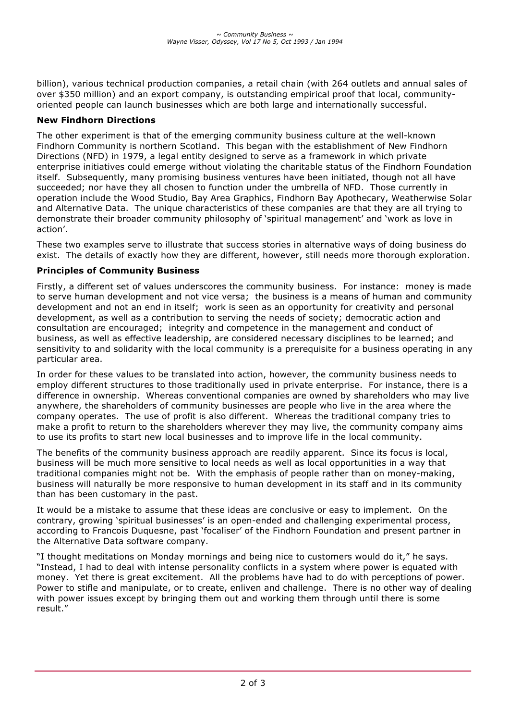billion), various technical production companies, a retail chain (with 264 outlets and annual sales of over \$350 million) and an export company, is outstanding empirical proof that local, communityoriented people can launch businesses which are both large and internationally successful.

### **New Findhorn Directions**

The other experiment is that of the emerging community business culture at the well-known Findhorn Community is northern Scotland. This began with the establishment of New Findhorn Directions (NFD) in 1979, a legal entity designed to serve as a framework in which private enterprise initiatives could emerge without violating the charitable status of the Findhorn Foundation itself. Subsequently, many promising business ventures have been initiated, though not all have succeeded; nor have they all chosen to function under the umbrella of NFD. Those currently in operation include the Wood Studio, Bay Area Graphics, Findhorn Bay Apothecary, Weatherwise Solar and Alternative Data. The unique characteristics of these companies are that they are all trying to demonstrate their broader community philosophy of 'spiritual management' and 'work as love in action'.

These two examples serve to illustrate that success stories in alternative ways of doing business do exist. The details of exactly how they are different, however, still needs more thorough exploration.

#### **Principles of Community Business**

Firstly, a different set of values underscores the community business. For instance: money is made to serve human development and not vice versa; the business is a means of human and community development and not an end in itself; work is seen as an opportunity for creativity and personal development, as well as a contribution to serving the needs of society; democratic action and consultation are encouraged; integrity and competence in the management and conduct of business, as well as effective leadership, are considered necessary disciplines to be learned; and sensitivity to and solidarity with the local community is a prerequisite for a business operating in any particular area.

In order for these values to be translated into action, however, the community business needs to employ different structures to those traditionally used in private enterprise. For instance, there is a difference in ownership. Whereas conventional companies are owned by shareholders who may live anywhere, the shareholders of community businesses are people who live in the area where the company operates. The use of profit is also different. Whereas the traditional company tries to make a profit to return to the shareholders wherever they may live, the community company aims to use its profits to start new local businesses and to improve life in the local community.

The benefits of the community business approach are readily apparent. Since its focus is local, business will be much more sensitive to local needs as well as local opportunities in a way that traditional companies might not be. With the emphasis of people rather than on money-making, business will naturally be more responsive to human development in its staff and in its community than has been customary in the past.

It would be a mistake to assume that these ideas are conclusive or easy to implement. On the contrary, growing 'spiritual businesses' is an open-ended and challenging experimental process, according to Francois Duquesne, past 'focaliser' of the Findhorn Foundation and present partner in the Alternative Data software company.

"I thought meditations on Monday mornings and being nice to customers would do it," he says. "Instead, I had to deal with intense personality conflicts in a system where power is equated with money. Yet there is great excitement. All the problems have had to do with perceptions of power. Power to stifle and manipulate, or to create, enliven and challenge. There is no other way of dealing with power issues except by bringing them out and working them through until there is some result."